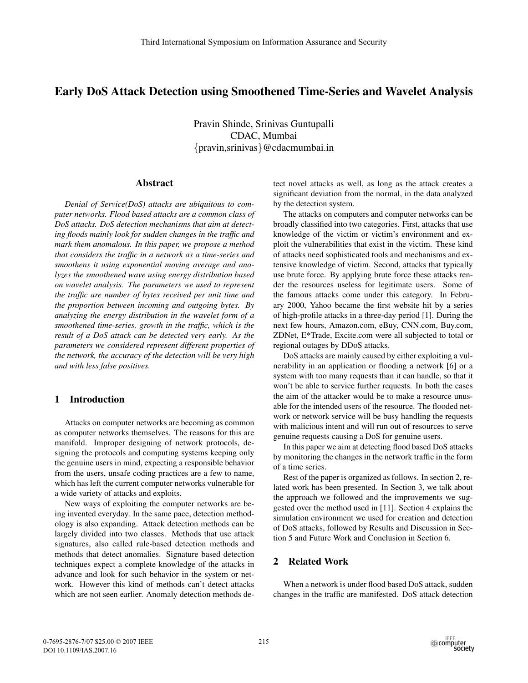# **Early DoS Attack Detection using Smoothened Time-Series and Wavelet Analysis**

Pravin Shinde, Srinivas Guntupalli CDAC, Mumbai *{*pravin,srinivas*}*@cdacmumbai.in

#### **Abstract**

*Denial of Service(DoS) attacks are ubiquitous to computer networks. Flood based attacks are a common class of DoS attacks. DoS detection mechanisms that aim at detecting floods mainly look for sudden changes in the traffic and mark them anomalous. In this paper, we propose a method that considers the traffic in a network as a time-series and smoothens it using exponential moving average and analyzes the smoothened wave using energy distribution based on wavelet analysis. The parameters we used to represent the traffic are number of bytes received per unit time and the proportion between incoming and outgoing bytes. By analyzing the energy distribution in the wavelet form of a smoothened time-series, growth in the traffic, which is the result of a DoS attack can be detected very early. As the parameters we considered represent different properties of the network, the accuracy of the detection will be very high and with less false positives.*

# **1 Introduction**

Attacks on computer networks are becoming as common as computer networks themselves. The reasons for this are manifold. Improper designing of network protocols, designing the protocols and computing systems keeping only the genuine users in mind, expecting a responsible behavior from the users, unsafe coding practices are a few to name, which has left the current computer networks vulnerable for a wide variety of attacks and exploits.

New ways of exploiting the computer networks are being invented everyday. In the same pace, detection methodology is also expanding. Attack detection methods can be largely divided into two classes. Methods that use attack signatures, also called rule-based detection methods and methods that detect anomalies. Signature based detection techniques expect a complete knowledge of the attacks in advance and look for such behavior in the system or network. However this kind of methods can't detect attacks which are not seen earlier. Anomaly detection methods detect novel attacks as well, as long as the attack creates a significant deviation from the normal, in the data analyzed by the detection system.

The attacks on computers and computer networks can be broadly classified into two categories. First, attacks that use knowledge of the victim or victim's environment and exploit the vulnerabilities that exist in the victim. These kind of attacks need sophisticated tools and mechanisms and extensive knowledge of victim. Second, attacks that typically use brute force. By applying brute force these attacks render the resources useless for legitimate users. Some of the famous attacks come under this category. In February 2000, Yahoo became the first website hit by a series of high-profile attacks in a three-day period [1]. During the next few hours, Amazon.com, eBuy, CNN.com, Buy.com, ZDNet, E\*Trade, Excite.com were all subjected to total or regional outages by DDoS attacks.

DoS attacks are mainly caused by either exploiting a vulnerability in an application or flooding a network [6] or a system with too many requests than it can handle, so that it won't be able to service further requests. In both the cases the aim of the attacker would be to make a resource unusable for the intended users of the resource. The flooded network or network service will be busy handling the requests with malicious intent and will run out of resources to serve genuine requests causing a DoS for genuine users.

In this paper we aim at detecting flood based DoS attacks by monitoring the changes in the network traffic in the form of a time series.

Rest of the paper is organized as follows. In section 2, related work has been presented. In Section 3, we talk about the approach we followed and the improvements we suggested over the method used in [11]. Section 4 explains the simulation environment we used for creation and detection of DoS attacks, followed by Results and Discussion in Section 5 and Future Work and Conclusion in Section 6.

## **2 Related Work**

When a network is under flood based DoS attack, sudden changes in the traffic are manifested. DoS attack detection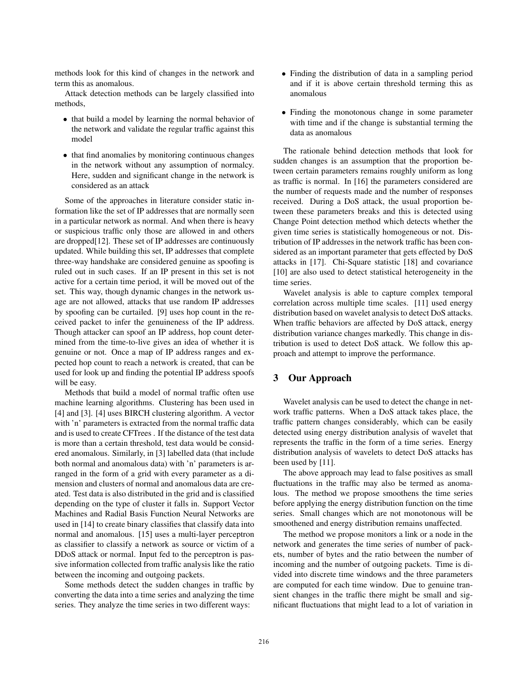methods look for this kind of changes in the network and term this as anomalous.

Attack detection methods can be largely classified into methods,

- *•* that build a model by learning the normal behavior of the network and validate the regular traffic against this model
- *•* that find anomalies by monitoring continuous changes in the network without any assumption of normalcy. Here, sudden and significant change in the network is considered as an attack

Some of the approaches in literature consider static information like the set of IP addresses that are normally seen in a particular network as normal. And when there is heavy or suspicious traffic only those are allowed in and others are dropped[12]. These set of IP addresses are continuously updated. While building this set, IP addresses that complete three-way handshake are considered genuine as spoofing is ruled out in such cases. If an IP present in this set is not active for a certain time period, it will be moved out of the set. This way, though dynamic changes in the network usage are not allowed, attacks that use random IP addresses by spoofing can be curtailed. [9] uses hop count in the received packet to infer the genuineness of the IP address. Though attacker can spoof an IP address, hop count determined from the time-to-live gives an idea of whether it is genuine or not. Once a map of IP address ranges and expected hop count to reach a network is created, that can be used for look up and finding the potential IP address spoofs will be easy.

Methods that build a model of normal traffic often use machine learning algorithms. Clustering has been used in [4] and [3]. [4] uses BIRCH clustering algorithm. A vector with 'n' parameters is extracted from the normal traffic data and is used to create CFTrees . If the distance of the test data is more than a certain threshold, test data would be considered anomalous. Similarly, in [3] labelled data (that include both normal and anomalous data) with 'n' parameters is arranged in the form of a grid with every parameter as a dimension and clusters of normal and anomalous data are created. Test data is also distributed in the grid and is classified depending on the type of cluster it falls in. Support Vector Machines and Radial Basis Function Neural Networks are used in [14] to create binary classifies that classify data into normal and anomalous. [15] uses a multi-layer perceptron as classifier to classify a network as source or victim of a DDoS attack or normal. Input fed to the perceptron is passive information collected from traffic analysis like the ratio between the incoming and outgoing packets.

Some methods detect the sudden changes in traffic by converting the data into a time series and analyzing the time series. They analyze the time series in two different ways:

- *•* Finding the distribution of data in a sampling period and if it is above certain threshold terming this as anomalous
- *•* Finding the monotonous change in some parameter with time and if the change is substantial terming the data as anomalous

The rationale behind detection methods that look for sudden changes is an assumption that the proportion between certain parameters remains roughly uniform as long as traffic is normal. In [16] the parameters considered are the number of requests made and the number of responses received. During a DoS attack, the usual proportion between these parameters breaks and this is detected using Change Point detection method which detects whether the given time series is statistically homogeneous or not. Distribution of IP addresses in the network traffic has been considered as an important parameter that gets effected by DoS attacks in [17]. Chi-Square statistic [18] and covariance [10] are also used to detect statistical heterogeneity in the time series.

Wavelet analysis is able to capture complex temporal correlation across multiple time scales. [11] used energy distribution based on wavelet analysis to detect DoS attacks. When traffic behaviors are affected by DoS attack, energy distribution variance changes markedly. This change in distribution is used to detect DoS attack. We follow this approach and attempt to improve the performance.

### **3 Our Approach**

Wavelet analysis can be used to detect the change in network traffic patterns. When a DoS attack takes place, the traffic pattern changes considerably, which can be easily detected using energy distribution analysis of wavelet that represents the traffic in the form of a time series. Energy distribution analysis of wavelets to detect DoS attacks has been used by [11].

The above approach may lead to false positives as small fluctuations in the traffic may also be termed as anomalous. The method we propose smoothens the time series before applying the energy distribution function on the time series. Small changes which are not monotonous will be smoothened and energy distribution remains unaffected.

The method we propose monitors a link or a node in the network and generates the time series of number of packets, number of bytes and the ratio between the number of incoming and the number of outgoing packets. Time is divided into discrete time windows and the three parameters are computed for each time window. Due to genuine transient changes in the traffic there might be small and significant fluctuations that might lead to a lot of variation in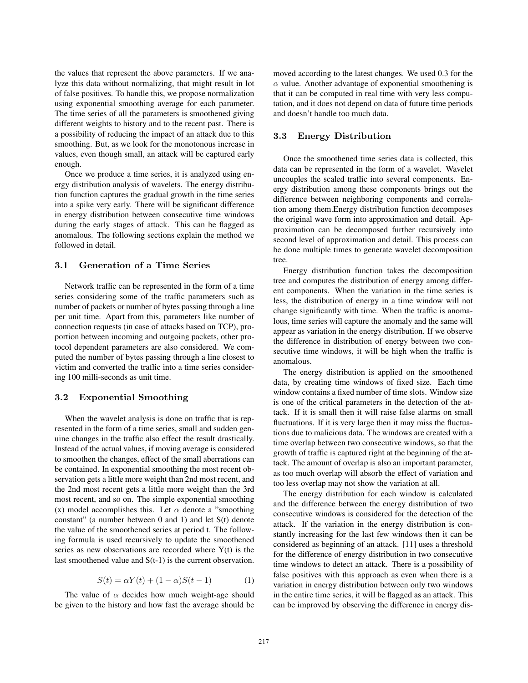the values that represent the above parameters. If we analyze this data without normalizing, that might result in lot of false positives. To handle this, we propose normalization using exponential smoothing average for each parameter. The time series of all the parameters is smoothened giving different weights to history and to the recent past. There is a possibility of reducing the impact of an attack due to this smoothing. But, as we look for the monotonous increase in values, even though small, an attack will be captured early enough.

Once we produce a time series, it is analyzed using energy distribution analysis of wavelets. The energy distribution function captures the gradual growth in the time series into a spike very early. There will be significant difference in energy distribution between consecutive time windows during the early stages of attack. This can be flagged as anomalous. The following sections explain the method we followed in detail.

## **3.1 Generation of a Time Series**

Network traffic can be represented in the form of a time series considering some of the traffic parameters such as number of packets or number of bytes passing through a line per unit time. Apart from this, parameters like number of connection requests (in case of attacks based on TCP), proportion between incoming and outgoing packets, other protocol dependent parameters are also considered. We computed the number of bytes passing through a line closest to victim and converted the traffic into a time series considering 100 milli-seconds as unit time.

#### **3.2 Exponential Smoothing**

When the wavelet analysis is done on traffic that is represented in the form of a time series, small and sudden genuine changes in the traffic also effect the result drastically. Instead of the actual values, if moving average is considered to smoothen the changes, effect of the small aberrations can be contained. In exponential smoothing the most recent observation gets a little more weight than 2nd most recent, and the 2nd most recent gets a little more weight than the 3rd most recent, and so on. The simple exponential smoothing (x) model accomplishes this. Let  $\alpha$  denote a "smoothing" constant" (a number between 0 and 1) and let S(t) denote the value of the smoothened series at period t. The following formula is used recursively to update the smoothened series as new observations are recorded where  $Y(t)$  is the last smoothened value and S(t-1) is the current observation.

$$
S(t) = \alpha Y(t) + (1 - \alpha)S(t - 1)
$$
\n(1)

The value of  $\alpha$  decides how much weight-age should be given to the history and how fast the average should be

moved according to the latest changes. We used 0.3 for the  $\alpha$  value. Another advantage of exponential smoothening is that it can be computed in real time with very less computation, and it does not depend on data of future time periods and doesn't handle too much data.

#### **3.3 Energy Distribution**

Once the smoothened time series data is collected, this data can be represented in the form of a wavelet. Wavelet uncouples the scaled traffic into several components. Energy distribution among these components brings out the difference between neighboring components and correlation among them.Energy distribution function decomposes the original wave form into approximation and detail. Approximation can be decomposed further recursively into second level of approximation and detail. This process can be done multiple times to generate wavelet decomposition tree.

Energy distribution function takes the decomposition tree and computes the distribution of energy among different components. When the variation in the time series is less, the distribution of energy in a time window will not change significantly with time. When the traffic is anomalous, time series will capture the anomaly and the same will appear as variation in the energy distribution. If we observe the difference in distribution of energy between two consecutive time windows, it will be high when the traffic is anomalous.

The energy distribution is applied on the smoothened data, by creating time windows of fixed size. Each time window contains a fixed number of time slots. Window size is one of the critical parameters in the detection of the attack. If it is small then it will raise false alarms on small fluctuations. If it is very large then it may miss the fluctuations due to malicious data. The windows are created with a time overlap between two consecutive windows, so that the growth of traffic is captured right at the beginning of the attack. The amount of overlap is also an important parameter, as too much overlap will absorb the effect of variation and too less overlap may not show the variation at all.

The energy distribution for each window is calculated and the difference between the energy distribution of two consecutive windows is considered for the detection of the attack. If the variation in the energy distribution is constantly increasing for the last few windows then it can be considered as beginning of an attack. [11] uses a threshold for the difference of energy distribution in two consecutive time windows to detect an attack. There is a possibility of false positives with this approach as even when there is a variation in energy distribution between only two windows in the entire time series, it will be flagged as an attack. This can be improved by observing the difference in energy dis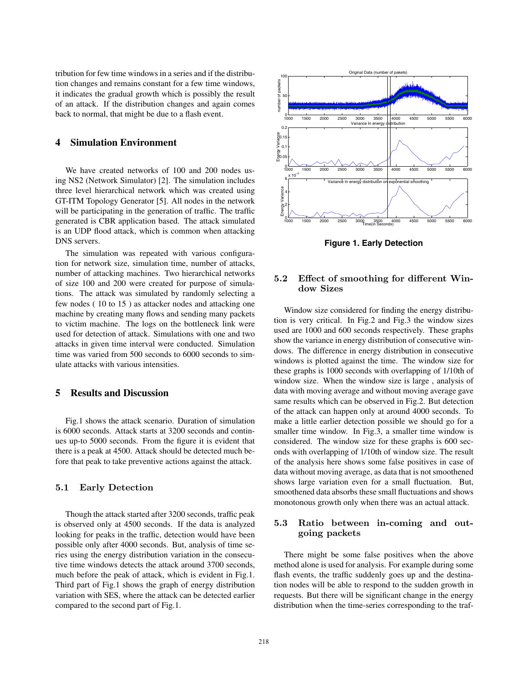tribution for few time windows in a series and if the distribution changes and remains constant for a few time windows, it indicates the gradual growth which is possibly the result of an attack. If the distribution changes and again comes back to normal, that might be due to a flash event.

### **4 Simulation Environment**

We have created networks of 100 and 200 nodes using NS2 (Network Simulator) [2]. The simulation includes three level hierarchical network which was created using GT-ITM Topology Generator [5]. All nodes in the network will be participating in the generation of traffic. The traffic generated is CBR application based. The attack simulated is an UDP flood attack, which is common when attacking DNS servers.

The simulation was repeated with various configuration for network size, simulation time, number of attacks, number of attacking machines. Two hierarchical networks of size 100 and 200 were created for purpose of simulations. The attack was simulated by randomly selecting a few nodes ( 10 to 15 ) as attacker nodes and attacking one machine by creating many flows and sending many packets to victim machine. The logs on the bottleneck link were used for detection of attack. Simulations with one and two attacks in given time interval were conducted. Simulation time was varied from 500 seconds to 6000 seconds to simulate attacks with various intensities.

## **5 Results and Discussion**

Fig.1 shows the attack scenario. Duration of simulation is 6000 seconds. Attack starts at 3200 seconds and continues up-to 5000 seconds. From the figure it is evident that there is a peak at 4500. Attack should be detected much before that peak to take preventive actions against the attack.

#### **5.1 Early Detection**

Though the attack started after 3200 seconds, traffic peak is observed only at 4500 seconds. If the data is analyzed looking for peaks in the traffic, detection would have been possible only after 4000 seconds. But, analysis of time series using the energy distribution variation in the consecutive time windows detects the attack around 3700 seconds, much before the peak of attack, which is evident in Fig.1. Third part of Fig.1 shows the graph of energy distribution variation with SES, where the attack can be detected earlier compared to the second part of Fig.1.



**Figure 1. Early Detection**

#### **5.2 Effect of smoothing for different Window Sizes**

Window size considered for finding the energy distribution is very critical. In Fig.2 and Fig.3 the window sizes used are 1000 and 600 seconds respectively. These graphs show the variance in energy distribution of consecutive windows. The difference in energy distribution in consecutive windows is plotted against the time. The window size for these graphs is 1000 seconds with overlapping of 1/10th of window size. When the window size is large , analysis of data with moving average and without moving average gave same results which can be observed in Fig.2. But detection of the attack can happen only at around 4000 seconds. To make a little earlier detection possible we should go for a smaller time window. In Fig.3, a smaller time window is considered. The window size for these graphs is 600 seconds with overlapping of 1/10th of window size. The result of the analysis here shows some false positives in case of data without moving average, as data that is not smoothened shows large variation even for a small fluctuation. But, smoothened data absorbs these small fluctuations and shows monotonous growth only when there was an actual attack.

### **5.3 Ratio between in-coming and outgoing packets**

There might be some false positives when the above method alone is used for analysis. For example during some flash events, the traffic suddenly goes up and the destination nodes will be able to respond to the sudden growth in requests. But there will be significant change in the energy distribution when the time-series corresponding to the traf-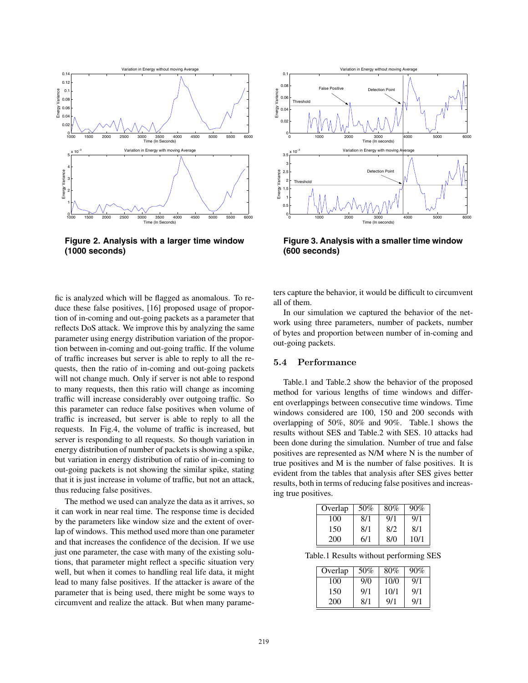

**Figure 2. Analysis with a larger time window (1000 seconds)**

fic is analyzed which will be flagged as anomalous. To reduce these false positives, [16] proposed usage of proportion of in-coming and out-going packets as a parameter that reflects DoS attack. We improve this by analyzing the same parameter using energy distribution variation of the proportion between in-coming and out-going traffic. If the volume of traffic increases but server is able to reply to all the requests, then the ratio of in-coming and out-going packets will not change much. Only if server is not able to respond to many requests, then this ratio will change as incoming traffic will increase considerably over outgoing traffic. So this parameter can reduce false positives when volume of traffic is increased, but server is able to reply to all the requests. In Fig.4, the volume of traffic is increased, but server is responding to all requests. So though variation in energy distribution of number of packets is showing a spike, but variation in energy distribution of ratio of in-coming to out-going packets is not showing the similar spike, stating that it is just increase in volume of traffic, but not an attack, thus reducing false positives.

The method we used can analyze the data as it arrives, so it can work in near real time. The response time is decided by the parameters like window size and the extent of overlap of windows. This method used more than one parameter and that increases the confidence of the decision. If we use just one parameter, the case with many of the existing solutions, that parameter might reflect a specific situation very well, but when it comes to handling real life data, it might lead to many false positives. If the attacker is aware of the parameter that is being used, there might be some ways to circumvent and realize the attack. But when many parame-



**Figure 3. Analysis with a smaller time window (600 seconds)**

ters capture the behavior, it would be difficult to circumvent all of them.

In our simulation we captured the behavior of the network using three parameters, number of packets, number of bytes and proportion between number of in-coming and out-going packets.

# **5.4 Performance**

Table.1 and Table.2 show the behavior of the proposed method for various lengths of time windows and different overlappings between consecutive time windows. Time windows considered are 100, 150 and 200 seconds with overlapping of 50%, 80% and 90%. Table.1 shows the results without SES and Table.2 with SES. 10 attacks had been done during the simulation. Number of true and false positives are represented as N/M where N is the number of true positives and M is the number of false positives. It is evident from the tables that analysis after SES gives better results, both in terms of reducing false positives and increasing true positives.

| Overlap | 50% | 80% | 90%  |
|---------|-----|-----|------|
| 100     | 8/1 | 9/1 | 9/1  |
| 150     | 8/1 | 8/2 | 8/1  |
| 200     | 6/1 | 8/0 | 10/1 |

Table.1 Results without performing SES

| Overlap | 50% | 80%  | 90% |
|---------|-----|------|-----|
| 100     | 9/0 | 10/0 | 9/1 |
| 150     | 9/1 | 10/1 | 9/1 |
| 200     | 8/1 | 9/1  | 9/1 |